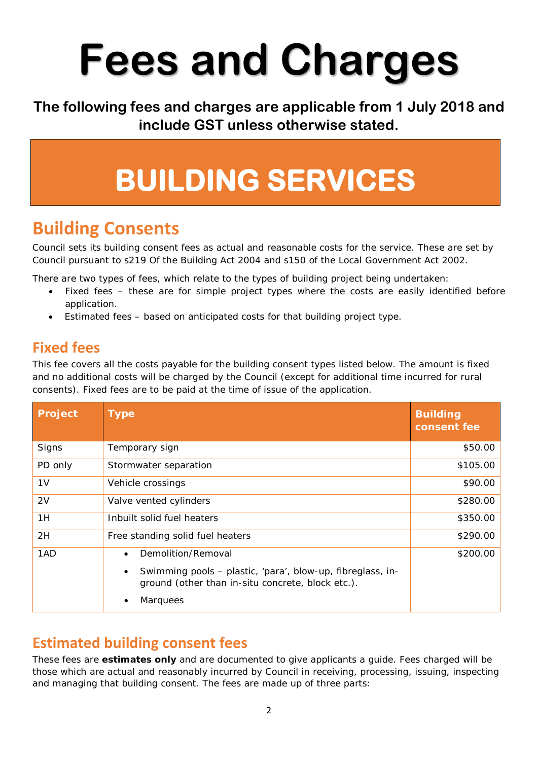# **Fees and Charges**

**The following fees and charges are applicable from 1 July 2018 and include GST unless otherwise stated.**

## **BUILDING SERVICES**

#### **Building Consents**

Council sets its building consent fees as actual and reasonable costs for the service. These are set by Council pursuant to s219 Of the Building Act 2004 and s150 of the Local Government Act 2002.

There are two types of fees, which relate to the types of building project being undertaken:

- Fixed fees these are for simple project types where the costs are easily identified before application.
- Estimated fees based on anticipated costs for that building project type.

#### **Fixed fees**

This fee covers all the costs payable for the building consent types listed below. The amount is fixed and no additional costs will be charged by the Council (except for additional time incurred for rural consents). Fixed fees are to be paid at the time of issue of the application.

| Project        | <b>Type</b>                                                                                                                  | <b>Building</b><br>consent fee |
|----------------|------------------------------------------------------------------------------------------------------------------------------|--------------------------------|
| Signs          | Temporary sign                                                                                                               | \$50.00                        |
| PD only        | Stormwater separation                                                                                                        | \$105.00                       |
| 1 <sub>V</sub> | Vehicle crossings                                                                                                            | \$90.00                        |
| 2V             | Valve vented cylinders                                                                                                       | \$280.00                       |
| 1H             | Inbuilt solid fuel heaters                                                                                                   | \$350.00                       |
| 2H             | Free standing solid fuel heaters                                                                                             | \$290.00                       |
| 1AD            | Demolition/Removal                                                                                                           | \$200.00                       |
|                | Swimming pools - plastic, 'para', blow-up, fibreglass, in-<br>$\bullet$<br>ground (other than in-situ concrete, block etc.). |                                |
|                | <b>Marquees</b>                                                                                                              |                                |

#### **Estimated building consent fees**

These fees are **estimates only** and are documented to give applicants a guide. Fees charged will be those which are actual and reasonably incurred by Council in receiving, processing, issuing, inspecting and managing that building consent. The fees are made up of three parts: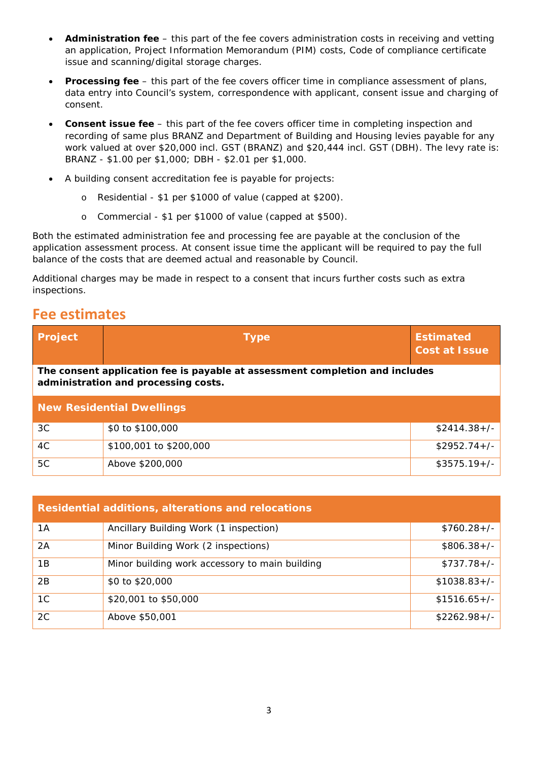- **Administration fee** this part of the fee covers administration costs in receiving and vetting an application, Project Information Memorandum (PIM) costs, Code of compliance certificate issue and scanning/digital storage charges.
- **Processing fee** this part of the fee covers officer time in compliance assessment of plans, data entry into Council's system, correspondence with applicant, consent issue and charging of consent.
- **Consent issue fee** this part of the fee covers officer time in completing inspection and recording of same plus BRANZ and Department of Building and Housing levies payable for any work valued at over \$20,000 incl. GST (BRANZ) and \$20,444 incl. GST (DBH). The levy rate is: BRANZ - \$1.00 per \$1,000; DBH - \$2.01 per \$1,000.
- A building consent accreditation fee is payable for projects:
	- o Residential \$1 per \$1000 of value (capped at \$200).
	- o Commercial \$1 per \$1000 of value (capped at \$500).

Both the estimated administration fee and processing fee are payable at the conclusion of the application assessment process. At consent issue time the applicant will be required to pay the full balance of the costs that are deemed actual and reasonable by Council.

Additional charges may be made in respect to a consent that incurs further costs such as extra inspections.

#### **Fee estimates**

| Project                                                                                                              | <b>Type</b>            | <b>Estimated</b><br><b>Cost at Issue</b> |
|----------------------------------------------------------------------------------------------------------------------|------------------------|------------------------------------------|
| The consent application fee is payable at assessment completion and includes<br>administration and processing costs. |                        |                                          |
| <b>New Residential Dwellings</b>                                                                                     |                        |                                          |
| 3C                                                                                                                   | \$0 to \$100,000       | $$2414.38+/-$                            |
| 4C                                                                                                                   | \$100,001 to \$200,000 | $$2952.74+/-$                            |
| 5C                                                                                                                   | Above \$200,000        | $$3575.19+/-$                            |

| <b>Residential additions, alterations and relocations</b> |                                                |               |
|-----------------------------------------------------------|------------------------------------------------|---------------|
| 1A                                                        | Ancillary Building Work (1 inspection)         | $$760.28+/-$  |
| 2A                                                        | Minor Building Work (2 inspections)            | $$806.38+/-$  |
| 1Β                                                        | Minor building work accessory to main building | $$737.78+/-$  |
| 2B                                                        | \$0 to \$20,000                                | $$1038.83+/-$ |
| 1C                                                        | \$20,001 to \$50,000                           | $$1516.65+/-$ |
| 2C                                                        | Above \$50,001                                 | $$2262.98+/$  |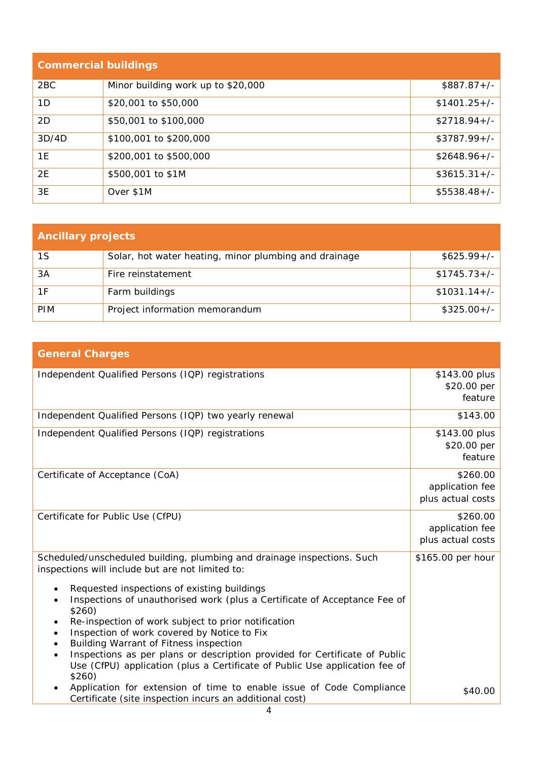| <b>Commercial buildings</b> |                                    |               |
|-----------------------------|------------------------------------|---------------|
| 2 <sub>BC</sub>             | Minor building work up to \$20,000 | $$887.87+/-$  |
| 1D                          | \$20,001 to \$50,000               | $$1401.25+/-$ |
| 2D                          | \$50,001 to \$100,000              | $$2718.94+/-$ |
| 3D/4D                       | \$100,001 to \$200,000             | $$3787.99+/-$ |
| 1E                          | \$200,001 to \$500,000             | $$2648.96+/-$ |
| 2E                          | \$500,001 to \$1M                  | $$3615.31+/-$ |
| 3E                          | Over \$1M                          | $$5538.48+/-$ |

| <b>Ancillary projects</b> |                                                       |               |
|---------------------------|-------------------------------------------------------|---------------|
| 1S                        | Solar, hot water heating, minor plumbing and drainage | $$625.99+/-$  |
| 3A                        | Fire reinstatement                                    | $$1745.73+/-$ |
| 1F                        | Farm buildings                                        | $$1031.14+/-$ |
| <b>PIM</b>                | Project information memorandum                        | $$325.00+/-$  |

| <b>General Charges</b>                                                                  |                   |
|-----------------------------------------------------------------------------------------|-------------------|
| Independent Qualified Persons (IQP) registrations                                       | \$143.00 plus     |
|                                                                                         | \$20.00 per       |
|                                                                                         | feature           |
| Independent Qualified Persons (IQP) two yearly renewal                                  | \$143.00          |
| Independent Qualified Persons (IQP) registrations                                       | \$143.00 plus     |
|                                                                                         | \$20.00 per       |
|                                                                                         | feature           |
| Certificate of Acceptance (CoA)                                                         | \$260.00          |
|                                                                                         | application fee   |
|                                                                                         | plus actual costs |
| Certificate for Public Use (CfPU)                                                       | \$260.00          |
|                                                                                         | application fee   |
|                                                                                         | plus actual costs |
| Scheduled/unscheduled building, plumbing and drainage inspections. Such                 | \$165.00 per hour |
| inspections will include but are not limited to:                                        |                   |
| Requested inspections of existing buildings                                             |                   |
| Inspections of unauthorised work (plus a Certificate of Acceptance Fee of<br>\$260)     |                   |
| Re-inspection of work subject to prior notification<br>٠                                |                   |
| Inspection of work covered by Notice to Fix<br>٠                                        |                   |
| Building Warrant of Fitness inspection<br>$\bullet$                                     |                   |
| Inspections as per plans or description provided for Certificate of Public<br>$\bullet$ |                   |
| Use (CfPU) application (plus a Certificate of Public Use application fee of<br>\$260)   |                   |
| Application for extension of time to enable issue of Code Compliance                    | \$40.00           |
| Certificate (site inspection incurs an additional cost)                                 |                   |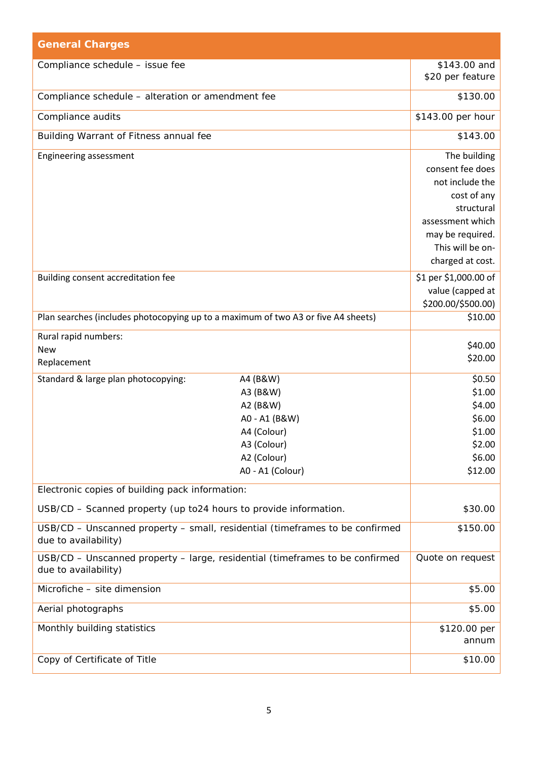| <b>General Charges</b>                                                                               |                              |                           |
|------------------------------------------------------------------------------------------------------|------------------------------|---------------------------|
| Compliance schedule - issue fee                                                                      |                              | \$143.00 and              |
|                                                                                                      |                              | \$20 per feature          |
| Compliance schedule - alteration or amendment fee                                                    |                              | \$130.00                  |
| Compliance audits                                                                                    |                              | \$143.00 per hour         |
| Building Warrant of Fitness annual fee                                                               |                              | \$143.00                  |
| Engineering assessment                                                                               |                              | The building              |
|                                                                                                      |                              | consent fee does          |
|                                                                                                      |                              | not include the           |
|                                                                                                      |                              | cost of any<br>structural |
|                                                                                                      |                              | assessment which          |
|                                                                                                      |                              | may be required.          |
|                                                                                                      |                              | This will be on-          |
|                                                                                                      |                              | charged at cost.          |
| Building consent accreditation fee                                                                   |                              | \$1 per \$1,000.00 of     |
|                                                                                                      |                              | value (capped at          |
|                                                                                                      |                              | \$200.00/\$500.00)        |
| Plan searches (includes photocopying up to a maximum of two A3 or five A4 sheets)                    |                              | \$10.00                   |
| Rural rapid numbers:                                                                                 |                              | \$40.00                   |
| <b>New</b>                                                                                           |                              | \$20.00                   |
| Replacement                                                                                          |                              |                           |
| Standard & large plan photocopying:                                                                  | A4 (B&W)                     | \$0.50                    |
|                                                                                                      | A3 (B&W)                     | \$1.00                    |
|                                                                                                      | A2 (B&W)                     | \$4.00                    |
|                                                                                                      | A0 - A1 (B&W)<br>A4 (Colour) | \$6.00<br>\$1.00          |
|                                                                                                      | A3 (Colour)                  | \$2.00                    |
|                                                                                                      | A2 (Colour)                  | \$6.00                    |
|                                                                                                      | A0 - A1 (Colour)             | \$12.00                   |
| Electronic copies of building pack information:                                                      |                              |                           |
| USB/CD - Scanned property (up to24 hours to provide information.                                     |                              | \$30.00                   |
| USB/CD - Unscanned property - small, residential (timeframes to be confirmed<br>due to availability) |                              | \$150.00                  |
| USB/CD - Unscanned property - large, residential (timeframes to be confirmed<br>due to availability) |                              | Quote on request          |
| Microfiche - site dimension                                                                          |                              | \$5.00                    |
| Aerial photographs                                                                                   |                              | \$5.00                    |
| Monthly building statistics                                                                          |                              | \$120.00 per              |
|                                                                                                      |                              | annum                     |
| Copy of Certificate of Title                                                                         |                              | \$10.00                   |